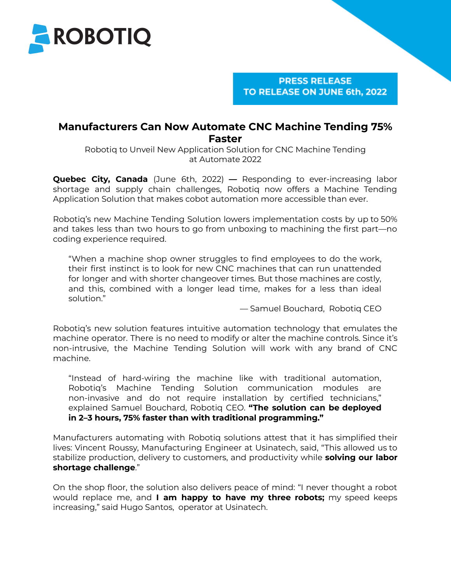

**PRESS RELEASE** TO RELEASE ON JUNE 6th, 2022

# **Manufacturers Can Now Automate CNC Machine Tending 75% Faster**

Robotiq to Unveil New Application Solution for CNC Machine Tending at Automate 2022

**Quebec City, Canada** (June 6th, 2022) *—* Responding to ever-increasing labor shortage and supply chain challenges, Robotiq now offers a Machine Tending Application Solution that makes cobot automation more accessible than ever.

Robotiq's new Machine Tending Solution lowers implementation costs by up to 50% and takes less than two hours to go from unboxing to machining the first part—no coding experience required.

"When a machine shop owner struggles to find employees to do the work, their first instinct is to look for new CNC machines that can run unattended for longer and with shorter changeover times. But those machines are costly, and this, combined with a longer lead time, makes for a less than ideal solution."

— Samuel Bouchard, Robotiq CEO

Robotiq's new solution features intuitive automation technology that emulates the machine operator. There is no need to modify or alter the machine controls. Since it's non-intrusive, the Machine Tending Solution will work with any brand of CNC machine.

"Instead of hard-wiring the machine like with traditional automation, Robotiq's Machine Tending Solution communication modules are non-invasive and do not require installation by certified technicians," explained Samuel Bouchard, Robotiq CEO. **"The solution can be deployed in 2–3 hours, 75% faster than with traditional programming."**

Manufacturers automating with Robotiq solutions attest that it has simplified their lives: Vincent Roussy, Manufacturing Engineer at Usinatech, said, "This allowed us to stabilize production, delivery to customers, and productivity while **solving our labor shortage challenge**."

On the shop floor, the solution also delivers peace of mind: "I never thought a robot would replace me, and **I am happy to have my three robots;** my speed keeps increasing," said Hugo Santos, operator at Usinatech.